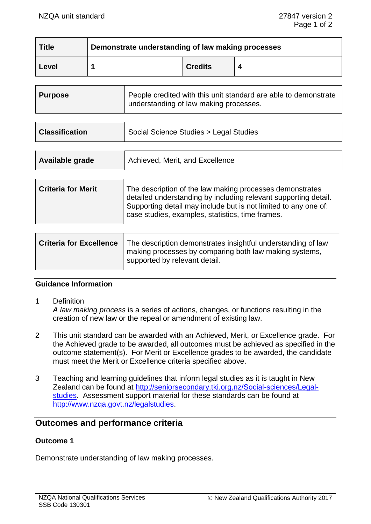| <b>Title</b> | Demonstrate understanding of law making processes |                |  |
|--------------|---------------------------------------------------|----------------|--|
| Level        |                                                   | <b>Credits</b> |  |

| Purpose | People credited with this unit standard are able to demonstrate<br>understanding of law making processes. |
|---------|-----------------------------------------------------------------------------------------------------------|
|         |                                                                                                           |

| <b>Classification</b> | Social Science Studies > Legal Studies |
|-----------------------|----------------------------------------|
|                       |                                        |

| <b>Available grade</b> | Achieved, Merit, and Excellence |
|------------------------|---------------------------------|
|                        |                                 |

| Supporting detail may include but is not limited to any one of:<br>case studies, examples, statistics, time frames. |
|---------------------------------------------------------------------------------------------------------------------|
|---------------------------------------------------------------------------------------------------------------------|

| <b>Criteria for Excellence</b> | The description demonstrates insightful understanding of law<br>making processes by comparing both law making systems,<br>supported by relevant detail. |
|--------------------------------|---------------------------------------------------------------------------------------------------------------------------------------------------------|
|                                |                                                                                                                                                         |

# **Guidance Information**

1 Definition

*A law making process* is a series of actions, changes, or functions resulting in the creation of new law or the repeal or amendment of existing law.

- 2 This unit standard can be awarded with an Achieved, Merit, or Excellence grade. For the Achieved grade to be awarded, all outcomes must be achieved as specified in the outcome statement(s). For Merit or Excellence grades to be awarded, the candidate must meet the Merit or Excellence criteria specified above.
- 3 Teaching and learning guidelines that inform legal studies as it is taught in New Zealand can be found at [http://seniorsecondary.tki.org.nz/Social-sciences/Legal](http://seniorsecondary.tki.org.nz/Social-sciences/Legal-studies)[studies.](http://seniorsecondary.tki.org.nz/Social-sciences/Legal-studies) Assessment support material for these standards can be found at [http://www.nzqa.govt.nz/legalstudies.](http://www.nzqa.govt.nz/legalstudies)

# **Outcomes and performance criteria**

### **Outcome 1**

Demonstrate understanding of law making processes.